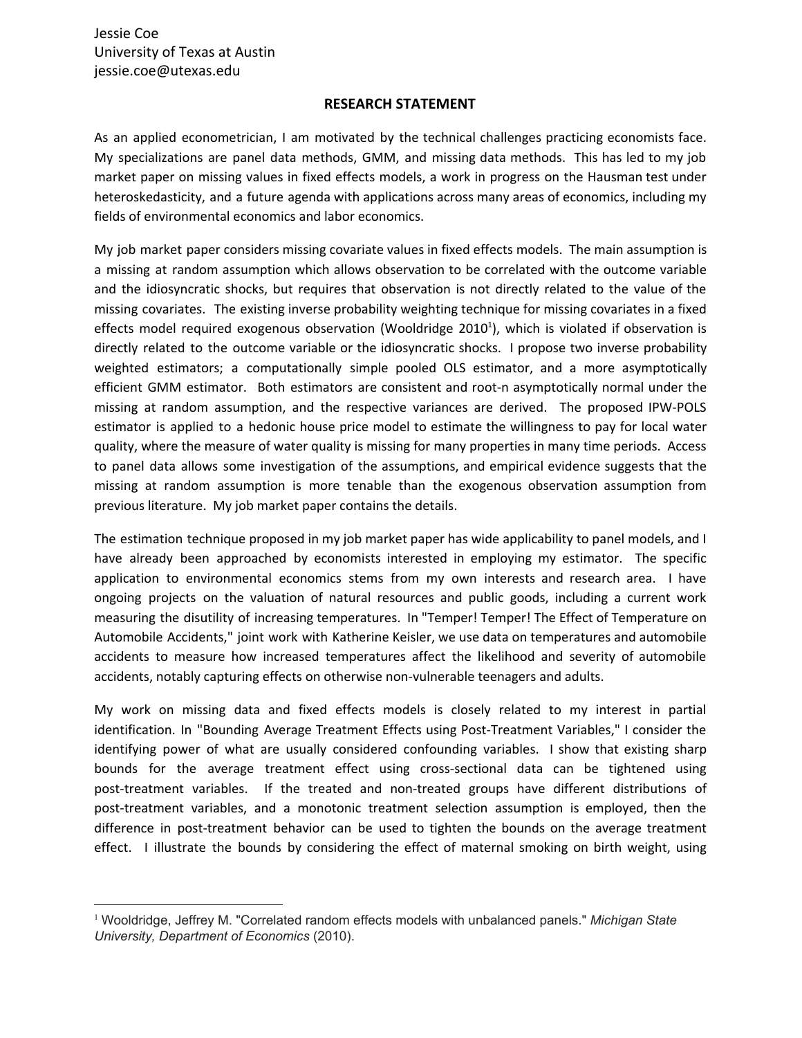## **RESEARCH STATEMENT**

As an applied econometrician, I am motivated by the technical challenges practicing economists face. My specializations are panel data methods, GMM, and missing data methods. This has led to my job market paper on missing values in fixed effects models, a work in progress on the Hausman test under heteroskedasticity, and a future agenda with applications across many areas of economics, including my fields of environmental economics and labor economics.

My job market paper considers missing covariate values in fixed effects models. The main assumption is a missing at random assumption which allows observation to be correlated with the outcome variable and the idiosyncratic shocks, but requires that observation is not directly related to the value of the missing covariates. The existing inverse probability weighting technique for missing covariates in a fixed effects model required exogenous observation (Wooldridge 2010<sup>1</sup>), which is violated if observation is directly related to the outcome variable or the idiosyncratic shocks. I propose two inverse probability weighted estimators; a computationally simple pooled OLS estimator, and a more asymptotically efficient GMM estimator. Both estimators are consistent and root-n asymptotically normal under the missing at random assumption, and the respective variances are derived. The proposed IPW-POLS estimator is applied to a hedonic house price model to estimate the willingness to pay for local water quality, where the measure of water quality is missing for many properties in many time periods. Access to panel data allows some investigation of the assumptions, and empirical evidence suggests that the missing at random assumption is more tenable than the exogenous observation assumption from previous literature. My job market paper contains the details.

The estimation technique proposed in my job market paper has wide applicability to panel models, and I have already been approached by economists interested in employing my estimator. The specific application to environmental economics stems from my own interests and research area. I have ongoing projects on the valuation of natural resources and public goods, including a current work measuring the disutility of increasing temperatures. In "Temper! Temper! The Effect of Temperature on Automobile Accidents," joint work with Katherine Keisler, we use data on temperatures and automobile accidents to measure how increased temperatures affect the likelihood and severity of automobile accidents, notably capturing effects on otherwise non-vulnerable teenagers and adults.

My work on missing data and fixed effects models is closely related to my interest in partial identification. In "Bounding Average Treatment Effects using Post-Treatment Variables," I consider the identifying power of what are usually considered confounding variables. I show that existing sharp bounds for the average treatment effect using cross-sectional data can be tightened using post-treatment variables. If the treated and non-treated groups have different distributions of post-treatment variables, and a monotonic treatment selection assumption is employed, then the difference in post-treatment behavior can be used to tighten the bounds on the average treatment effect. I illustrate the bounds by considering the effect of maternal smoking on birth weight, using

<sup>1</sup> Wooldridge, Jeffrey M. "Correlated random effects models with unbalanced panels." *Michigan State University, Department of Economics* (2010).